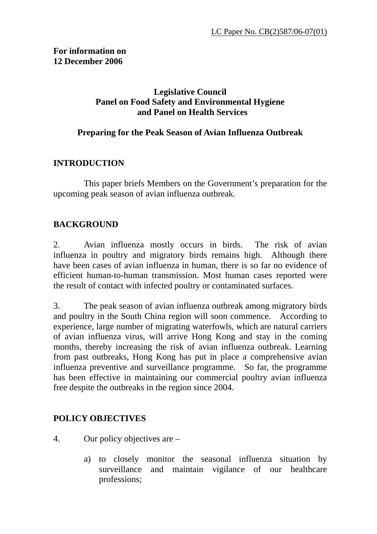#### **Legislative Council Panel on Food Safety and Environmental Hygiene and Panel on Health Services**

#### **Preparing for the Peak Season of Avian Influenza Outbreak**

#### **INTRODUCTION**

 This paper briefs Members on the Government's preparation for the upcoming peak season of avian influenza outbreak.

#### **BACKGROUND**

2. Avian influenza mostly occurs in birds. The risk of avian influenza in poultry and migratory birds remains high. Although there have been cases of avian influenza in human, there is so far no evidence of efficient human-to-human transmission. Most human cases reported were the result of contact with infected poultry or contaminated surfaces.

3. The peak season of avian influenza outbreak among migratory birds and poultry in the South China region will soon commence. According to experience, large number of migrating waterfowls, which are natural carriers of avian influenza virus, will arrive Hong Kong and stay in the coming months, thereby increasing the risk of avian influenza outbreak. Learning from past outbreaks, Hong Kong has put in place a comprehensive avian influenza preventive and surveillance programme. So far, the programme has been effective in maintaining our commercial poultry avian influenza free despite the outbreaks in the region since 2004.

# **POLICY OBJECTIVES**

- 4. Our policy objectives are
	- a) to closely monitor the seasonal influenza situation by surveillance and maintain vigilance of our healthcare professions;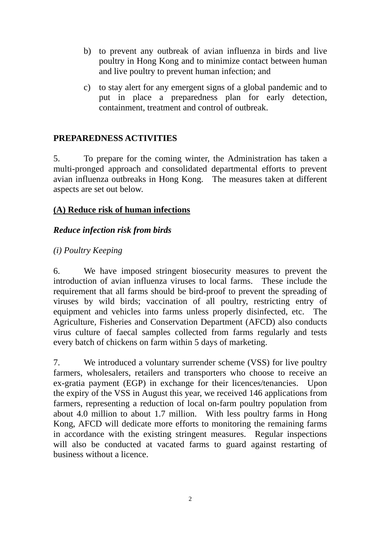- b) to prevent any outbreak of avian influenza in birds and live poultry in Hong Kong and to minimize contact between human and live poultry to prevent human infection; and
- c) to stay alert for any emergent signs of a global pandemic and to put in place a preparedness plan for early detection, containment, treatment and control of outbreak.

# **PREPAREDNESS ACTIVITIES**

5. To prepare for the coming winter, the Administration has taken a multi-pronged approach and consolidated departmental efforts to prevent avian influenza outbreaks in Hong Kong. The measures taken at different aspects are set out below.

#### **(A) Reduce risk of human infections**

#### *Reduce infection risk from birds*

#### *(i) Poultry Keeping*

6. We have imposed stringent biosecurity measures to prevent the introduction of avian influenza viruses to local farms. These include the requirement that all farms should be bird-proof to prevent the spreading of viruses by wild birds; vaccination of all poultry, restricting entry of equipment and vehicles into farms unless properly disinfected, etc. The Agriculture, Fisheries and Conservation Department (AFCD) also conducts virus culture of faecal samples collected from farms regularly and tests every batch of chickens on farm within 5 days of marketing.

7. We introduced a voluntary surrender scheme (VSS) for live poultry farmers, wholesalers, retailers and transporters who choose to receive an ex-gratia payment (EGP) in exchange for their licences/tenancies. Upon the expiry of the VSS in August this year, we received 146 applications from farmers, representing a reduction of local on-farm poultry population from about 4.0 million to about 1.7 million. With less poultry farms in Hong Kong, AFCD will dedicate more efforts to monitoring the remaining farms in accordance with the existing stringent measures. Regular inspections will also be conducted at vacated farms to guard against restarting of business without a licence.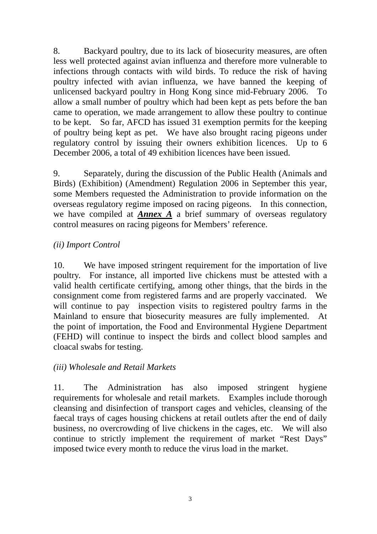8. Backyard poultry, due to its lack of biosecurity measures, are often less well protected against avian influenza and therefore more vulnerable to infections through contacts with wild birds. To reduce the risk of having poultry infected with avian influenza, we have banned the keeping of unlicensed backyard poultry in Hong Kong since mid-February 2006. To allow a small number of poultry which had been kept as pets before the ban came to operation, we made arrangement to allow these poultry to continue to be kept. So far, AFCD has issued 31 exemption permits for the keeping of poultry being kept as pet. We have also brought racing pigeons under regulatory control by issuing their owners exhibition licences. Up to 6 December 2006, a total of 49 exhibition licences have been issued.

9. Separately, during the discussion of the Public Health (Animals and Birds) (Exhibition) (Amendment) Regulation 2006 in September this year, some Members requested the Administration to provide information on the overseas regulatory regime imposed on racing pigeons. In this connection, we have compiled at *Annex A* a brief summary of overseas regulatory control measures on racing pigeons for Members' reference.

#### *(ii) Import Control*

10. We have imposed stringent requirement for the importation of live poultry. For instance, all imported live chickens must be attested with a valid health certificate certifying, among other things, that the birds in the consignment come from registered farms and are properly vaccinated. We will continue to pay inspection visits to registered poultry farms in the Mainland to ensure that biosecurity measures are fully implemented. At the point of importation, the Food and Environmental Hygiene Department (FEHD) will continue to inspect the birds and collect blood samples and cloacal swabs for testing.

#### *(iii) Wholesale and Retail Markets*

11. The Administration has also imposed stringent hygiene requirements for wholesale and retail markets. Examples include thorough cleansing and disinfection of transport cages and vehicles, cleansing of the faecal trays of cages housing chickens at retail outlets after the end of daily business, no overcrowding of live chickens in the cages, etc. We will also continue to strictly implement the requirement of market "Rest Days" imposed twice every month to reduce the virus load in the market.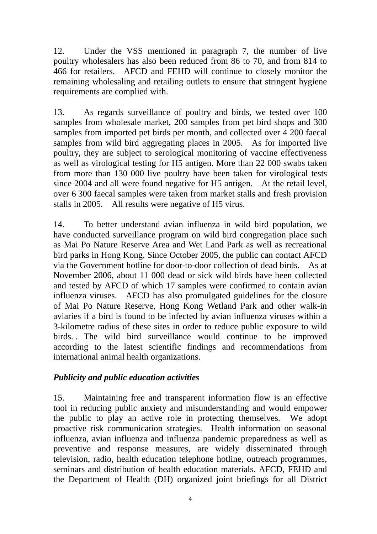12. Under the VSS mentioned in paragraph 7, the number of live poultry wholesalers has also been reduced from 86 to 70, and from 814 to 466 for retailers. AFCD and FEHD will continue to closely monitor the remaining wholesaling and retailing outlets to ensure that stringent hygiene requirements are complied with.

13. As regards surveillance of poultry and birds, we tested over 100 samples from wholesale market, 200 samples from pet bird shops and 300 samples from imported pet birds per month, and collected over 4 200 faecal samples from wild bird aggregating places in 2005. As for imported live poultry, they are subject to serological monitoring of vaccine effectiveness as well as virological testing for H5 antigen. More than 22 000 swabs taken from more than 130 000 live poultry have been taken for virological tests since 2004 and all were found negative for H5 antigen. At the retail level, over 6 300 faecal samples were taken from market stalls and fresh provision stalls in 2005. All results were negative of H5 virus.

14. To better understand avian influenza in wild bird population, we have conducted surveillance program on wild bird congregation place such as Mai Po Nature Reserve Area and Wet Land Park as well as recreational bird parks in Hong Kong. Since October 2005, the public can contact AFCD via the Government hotline for door-to-door collection of dead birds. As at November 2006, about 11 000 dead or sick wild birds have been collected and tested by AFCD of which 17 samples were confirmed to contain avian influenza viruses. AFCD has also promulgated guidelines for the closure of Mai Po Nature Reserve, Hong Kong Wetland Park and other walk-in aviaries if a bird is found to be infected by avian influenza viruses within a 3-kilometre radius of these sites in order to reduce public exposure to wild birds. . The wild bird surveillance would continue to be improved according to the latest scientific findings and recommendations from international animal health organizations.

# *Publicity and public education activities*

15. Maintaining free and transparent information flow is an effective tool in reducing public anxiety and misunderstanding and would empower the public to play an active role in protecting themselves. We adopt proactive risk communication strategies. Health information on seasonal influenza, avian influenza and influenza pandemic preparedness as well as preventive and response measures, are widely disseminated through television, radio, health education telephone hotline, outreach programmes, seminars and distribution of health education materials. AFCD, FEHD and the Department of Health (DH) organized joint briefings for all District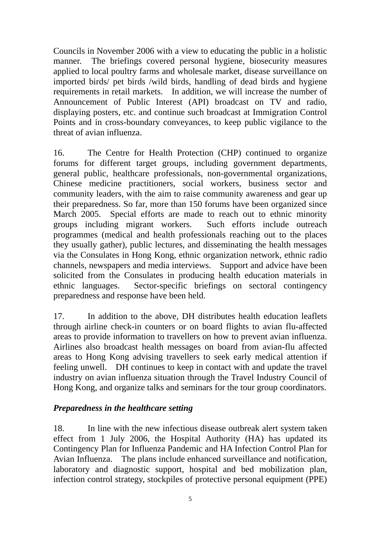Councils in November 2006 with a view to educating the public in a holistic manner. The briefings covered personal hygiene, biosecurity measures applied to local poultry farms and wholesale market, disease surveillance on imported birds/ pet birds /wild birds, handling of dead birds and hygiene requirements in retail markets. In addition, we will increase the number of Announcement of Public Interest (API) broadcast on TV and radio, displaying posters, etc. and continue such broadcast at Immigration Control Points and in cross-boundary conveyances, to keep public vigilance to the threat of avian influenza.

16. The Centre for Health Protection (CHP) continued to organize forums for different target groups, including government departments, general public, healthcare professionals, non-governmental organizations, Chinese medicine practitioners, social workers, business sector and community leaders, with the aim to raise community awareness and gear up their preparedness. So far, more than 150 forums have been organized since March 2005. Special efforts are made to reach out to ethnic minority groups including migrant workers. Such efforts include outreach programmes (medical and health professionals reaching out to the places they usually gather), public lectures, and disseminating the health messages via the Consulates in Hong Kong, ethnic organization network, ethnic radio channels, newspapers and media interviews. Support and advice have been solicited from the Consulates in producing health education materials in ethnic languages. Sector-specific briefings on sectoral contingency preparedness and response have been held.

17. In addition to the above, DH distributes health education leaflets through airline check-in counters or on board flights to avian flu-affected areas to provide information to travellers on how to prevent avian influenza. Airlines also broadcast health messages on board from avian-flu affected areas to Hong Kong advising travellers to seek early medical attention if feeling unwell. DH continues to keep in contact with and update the travel industry on avian influenza situation through the Travel Industry Council of Hong Kong, and organize talks and seminars for the tour group coordinators.

# *Preparedness in the healthcare setting*

18. In line with the new infectious disease outbreak alert system taken effect from 1 July 2006, the Hospital Authority (HA) has updated its Contingency Plan for Influenza Pandemic and HA Infection Control Plan for Avian Influenza. The plans include enhanced surveillance and notification, laboratory and diagnostic support, hospital and bed mobilization plan, infection control strategy, stockpiles of protective personal equipment (PPE)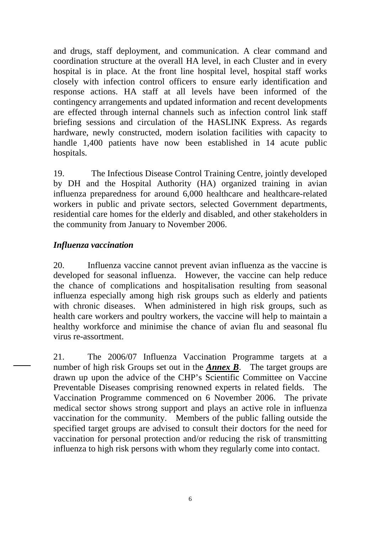and drugs, staff deployment, and communication. A clear command and coordination structure at the overall HA level, in each Cluster and in every hospital is in place. At the front line hospital level, hospital staff works closely with infection control officers to ensure early identification and response actions. HA staff at all levels have been informed of the contingency arrangements and updated information and recent developments are effected through internal channels such as infection control link staff briefing sessions and circulation of the HASLINK Express. As regards hardware, newly constructed, modern isolation facilities with capacity to handle 1,400 patients have now been established in 14 acute public hospitals.

19. The Infectious Disease Control Training Centre, jointly developed by DH and the Hospital Authority (HA) organized training in avian influenza preparedness for around 6,000 healthcare and healthcare-related workers in public and private sectors, selected Government departments, residential care homes for the elderly and disabled, and other stakeholders in the community from January to November 2006.

#### *Influenza vaccination*

20. Influenza vaccine cannot prevent avian influenza as the vaccine is developed for seasonal influenza. However, the vaccine can help reduce the chance of complications and hospitalisation resulting from seasonal influenza especially among high risk groups such as elderly and patients with chronic diseases. When administered in high risk groups, such as health care workers and poultry workers, the vaccine will help to maintain a healthy workforce and minimise the chance of avian flu and seasonal flu virus re-assortment.

21. The 2006/07 Influenza Vaccination Programme targets at a number of high risk Groups set out in the *Annex B*. The target groups are drawn up upon the advice of the CHP's Scientific Committee on Vaccine Preventable Diseases comprising renowned experts in related fields. The Vaccination Programme commenced on 6 November 2006. The private medical sector shows strong support and plays an active role in influenza vaccination for the community. Members of the public falling outside the specified target groups are advised to consult their doctors for the need for vaccination for personal protection and/or reducing the risk of transmitting influenza to high risk persons with whom they regularly come into contact.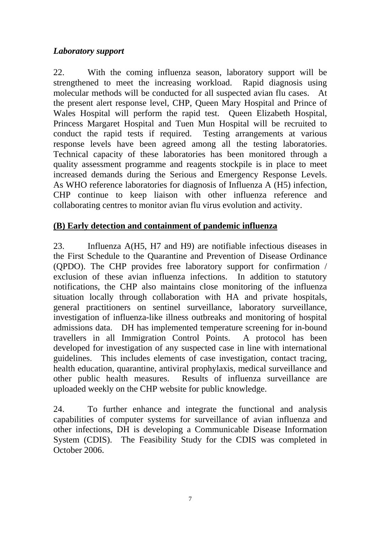#### *Laboratory support*

22. With the coming influenza season, laboratory support will be strengthened to meet the increasing workload. Rapid diagnosis using molecular methods will be conducted for all suspected avian flu cases. At the present alert response level, CHP, Queen Mary Hospital and Prince of Wales Hospital will perform the rapid test. Queen Elizabeth Hospital, Princess Margaret Hospital and Tuen Mun Hospital will be recruited to conduct the rapid tests if required. Testing arrangements at various response levels have been agreed among all the testing laboratories. Technical capacity of these laboratories has been monitored through a quality assessment programme and reagents stockpile is in place to meet increased demands during the Serious and Emergency Response Levels. As WHO reference laboratories for diagnosis of Influenza A (H5) infection, CHP continue to keep liaison with other influenza reference and collaborating centres to monitor avian flu virus evolution and activity.

# **(B) Early detection and containment of pandemic influenza**

23. Influenza A(H5, H7 and H9) are notifiable infectious diseases in the First Schedule to the Quarantine and Prevention of Disease Ordinance (QPDO). The CHP provides free laboratory support for confirmation / exclusion of these avian influenza infections. In addition to statutory notifications, the CHP also maintains close monitoring of the influenza situation locally through collaboration with HA and private hospitals, general practitioners on sentinel surveillance, laboratory surveillance, investigation of influenza-like illness outbreaks and monitoring of hospital admissions data. DH has implemented temperature screening for in-bound travellers in all Immigration Control Points. A protocol has been developed for investigation of any suspected case in line with international guidelines. This includes elements of case investigation, contact tracing, health education, quarantine, antiviral prophylaxis, medical surveillance and other public health measures. Results of influenza surveillance are uploaded weekly on the CHP website for public knowledge.

24. To further enhance and integrate the functional and analysis capabilities of computer systems for surveillance of avian influenza and other infections, DH is developing a Communicable Disease Information System (CDIS). The Feasibility Study for the CDIS was completed in October 2006.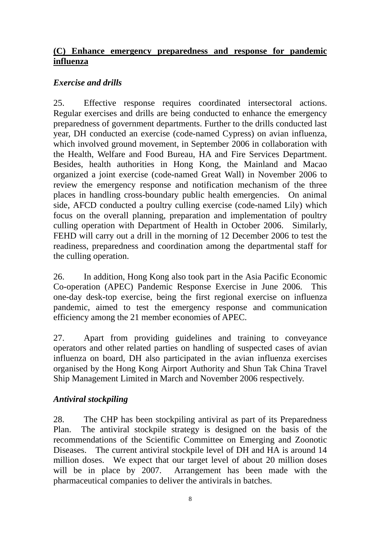# **(C) Enhance emergency preparedness and response for pandemic influenza**

# *Exercise and drills*

25. Effective response requires coordinated intersectoral actions. Regular exercises and drills are being conducted to enhance the emergency preparedness of government departments. Further to the drills conducted last year, DH conducted an exercise (code-named Cypress) on avian influenza, which involved ground movement, in September 2006 in collaboration with the Health, Welfare and Food Bureau, HA and Fire Services Department. Besides, health authorities in Hong Kong, the Mainland and Macao organized a joint exercise (code-named Great Wall) in November 2006 to review the emergency response and notification mechanism of the three places in handling cross-boundary public health emergencies. On animal side, AFCD conducted a poultry culling exercise (code-named Lily) which focus on the overall planning, preparation and implementation of poultry culling operation with Department of Health in October 2006. Similarly, FEHD will carry out a drill in the morning of 12 December 2006 to test the readiness, preparedness and coordination among the departmental staff for the culling operation.

26. In addition, Hong Kong also took part in the Asia Pacific Economic Co-operation (APEC) Pandemic Response Exercise in June 2006. This one-day desk-top exercise, being the first regional exercise on influenza pandemic, aimed to test the emergency response and communication efficiency among the 21 member economies of APEC.

27. Apart from providing guidelines and training to conveyance operators and other related parties on handling of suspected cases of avian influenza on board, DH also participated in the avian influenza exercises organised by the Hong Kong Airport Authority and Shun Tak China Travel Ship Management Limited in March and November 2006 respectively.

# *Antiviral stockpiling*

28. The CHP has been stockpiling antiviral as part of its Preparedness Plan. The antiviral stockpile strategy is designed on the basis of the recommendations of the Scientific Committee on Emerging and Zoonotic Diseases. The current antiviral stockpile level of DH and HA is around 14 million doses. We expect that our target level of about 20 million doses will be in place by 2007. Arrangement has been made with the pharmaceutical companies to deliver the antivirals in batches.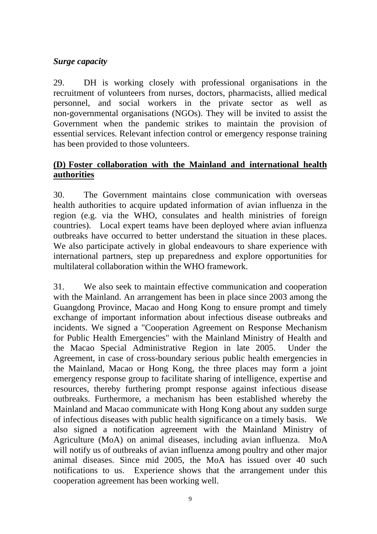# *Surge capacity*

29. DH is working closely with professional organisations in the recruitment of volunteers from nurses, doctors, pharmacists, allied medical personnel, and social workers in the private sector as well as non-governmental organisations (NGOs). They will be invited to assist the Government when the pandemic strikes to maintain the provision of essential services. Relevant infection control or emergency response training has been provided to those volunteers.

### **(D) Foster collaboration with the Mainland and international health authorities**

30. The Government maintains close communication with overseas health authorities to acquire updated information of avian influenza in the region (e.g. via the WHO, consulates and health ministries of foreign countries). Local expert teams have been deployed where avian influenza outbreaks have occurred to better understand the situation in these places. We also participate actively in global endeavours to share experience with international partners, step up preparedness and explore opportunities for multilateral collaboration within the WHO framework.

31. We also seek to maintain effective communication and cooperation with the Mainland. An arrangement has been in place since 2003 among the Guangdong Province, Macao and Hong Kong to ensure prompt and timely exchange of important information about infectious disease outbreaks and incidents. We signed a "Cooperation Agreement on Response Mechanism for Public Health Emergencies" with the Mainland Ministry of Health and the Macao Special Administrative Region in late 2005. Under the Agreement, in case of cross-boundary serious public health emergencies in the Mainland, Macao or Hong Kong, the three places may form a joint emergency response group to facilitate sharing of intelligence, expertise and resources, thereby furthering prompt response against infectious disease outbreaks. Furthermore, a mechanism has been established whereby the Mainland and Macao communicate with Hong Kong about any sudden surge of infectious diseases with public health significance on a timely basis. We also signed a notification agreement with the Mainland Ministry of Agriculture (MoA) on animal diseases, including avian influenza. MoA will notify us of outbreaks of avian influenza among poultry and other major animal diseases. Since mid 2005, the MoA has issued over 40 such notifications to us. Experience shows that the arrangement under this cooperation agreement has been working well.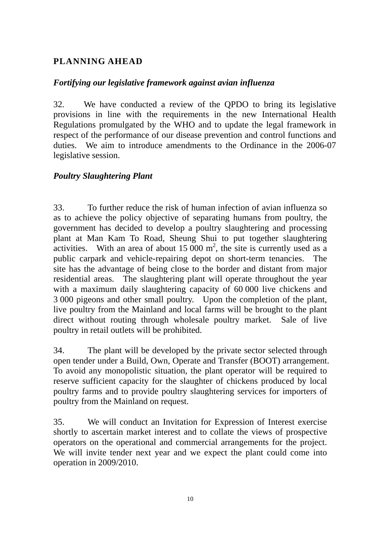# **PLANNING AHEAD**

#### *Fortifying our legislative framework against avian influenza*

32. We have conducted a review of the QPDO to bring its legislative provisions in line with the requirements in the new International Health Regulations promulgated by the WHO and to update the legal framework in respect of the performance of our disease prevention and control functions and duties. We aim to introduce amendments to the Ordinance in the 2006-07 legislative session.

#### *Poultry Slaughtering Plant*

33. To further reduce the risk of human infection of avian influenza so as to achieve the policy objective of separating humans from poultry, the government has decided to develop a poultry slaughtering and processing plant at Man Kam To Road, Sheung Shui to put together slaughtering activities. With an area of about  $15\,000 \text{ m}^2$ , the site is currently used as a public carpark and vehicle-repairing depot on short-term tenancies. The site has the advantage of being close to the border and distant from major residential areas. The slaughtering plant will operate throughout the year with a maximum daily slaughtering capacity of 60 000 live chickens and 3 000 pigeons and other small poultry. Upon the completion of the plant, live poultry from the Mainland and local farms will be brought to the plant direct without routing through wholesale poultry market. Sale of live poultry in retail outlets will be prohibited.

34. The plant will be developed by the private sector selected through open tender under a Build, Own, Operate and Transfer (BOOT) arrangement. To avoid any monopolistic situation, the plant operator will be required to reserve sufficient capacity for the slaughter of chickens produced by local poultry farms and to provide poultry slaughtering services for importers of poultry from the Mainland on request.

35. We will conduct an Invitation for Expression of Interest exercise shortly to ascertain market interest and to collate the views of prospective operators on the operational and commercial arrangements for the project. We will invite tender next year and we expect the plant could come into operation in 2009/2010.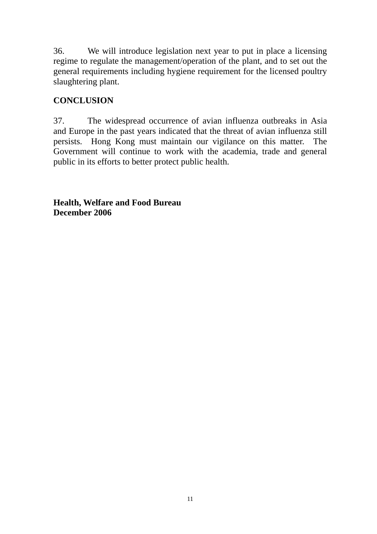36. We will introduce legislation next year to put in place a licensing regime to regulate the management/operation of the plant, and to set out the general requirements including hygiene requirement for the licensed poultry slaughtering plant.

# **CONCLUSION**

37. The widespread occurrence of avian influenza outbreaks in Asia and Europe in the past years indicated that the threat of avian influenza still persists. Hong Kong must maintain our vigilance on this matter. The Government will continue to work with the academia, trade and general public in its efforts to better protect public health.

**Health, Welfare and Food Bureau December 2006**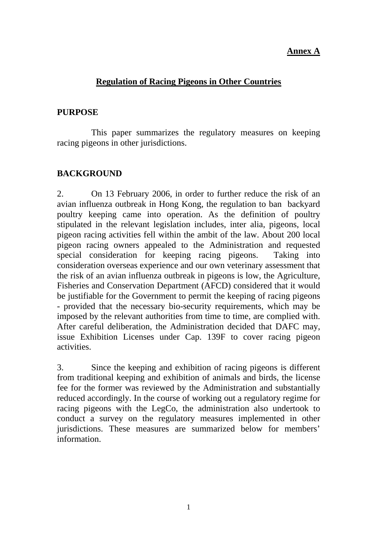#### **Annex A**

#### **Regulation of Racing Pigeons in Other Countries**

#### **PURPOSE**

 This paper summarizes the regulatory measures on keeping racing pigeons in other jurisdictions.

#### **BACKGROUND**

2. On 13 February 2006, in order to further reduce the risk of an avian influenza outbreak in Hong Kong, the regulation to ban backyard poultry keeping came into operation. As the definition of poultry stipulated in the relevant legislation includes, inter alia, pigeons, local pigeon racing activities fell within the ambit of the law. About 200 local pigeon racing owners appealed to the Administration and requested special consideration for keeping racing pigeons. Taking into consideration overseas experience and our own veterinary assessment that the risk of an avian influenza outbreak in pigeons is low, the Agriculture, Fisheries and Conservation Department (AFCD) considered that it would be justifiable for the Government to permit the keeping of racing pigeons - provided that the necessary bio-security requirements, which may be imposed by the relevant authorities from time to time, are complied with. After careful deliberation, the Administration decided that DAFC may, issue Exhibition Licenses under Cap. 139F to cover racing pigeon activities.

3. Since the keeping and exhibition of racing pigeons is different from traditional keeping and exhibition of animals and birds, the license fee for the former was reviewed by the Administration and substantially reduced accordingly. In the course of working out a regulatory regime for racing pigeons with the LegCo, the administration also undertook to conduct a survey on the regulatory measures implemented in other jurisdictions. These measures are summarized below for members' information.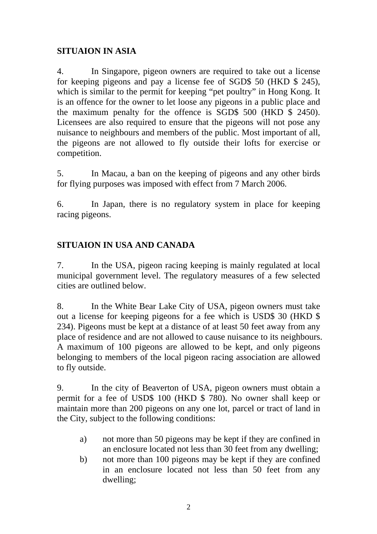# **SITUAION IN ASIA**

4. In Singapore, pigeon owners are required to take out a license for keeping pigeons and pay a license fee of SGD\$ 50 (HKD \$ 245), which is similar to the permit for keeping "pet poultry" in Hong Kong. It is an offence for the owner to let loose any pigeons in a public place and the maximum penalty for the offence is SGD\$ 500 (HKD \$ 2450). Licensees are also required to ensure that the pigeons will not pose any nuisance to neighbours and members of the public. Most important of all, the pigeons are not allowed to fly outside their lofts for exercise or competition.

5. In Macau, a ban on the keeping of pigeons and any other birds for flying purposes was imposed with effect from 7 March 2006.

6. In Japan, there is no regulatory system in place for keeping racing pigeons.

# **SITUAION IN USA AND CANADA**

7. In the USA, pigeon racing keeping is mainly regulated at local municipal government level. The regulatory measures of a few selected cities are outlined below.

8. In the White Bear Lake City of USA, pigeon owners must take out a license for keeping pigeons for a fee which is USD\$ 30 (HKD \$ 234). Pigeons must be kept at a distance of at least 50 feet away from any place of residence and are not allowed to cause nuisance to its neighbours. A maximum of 100 pigeons are allowed to be kept, and only pigeons belonging to members of the local pigeon racing association are allowed to fly outside.

9. In the city of Beaverton of USA, pigeon owners must obtain a permit for a fee of USD\$ 100 (HKD \$ 780). No owner shall keep or maintain more than 200 pigeons on any one lot, parcel or tract of land in the City, subject to the following conditions:

- a) not more than 50 pigeons may be kept if they are confined in an enclosure located not less than 30 feet from any dwelling;
- b) not more than 100 pigeons may be kept if they are confined in an enclosure located not less than 50 feet from any dwelling;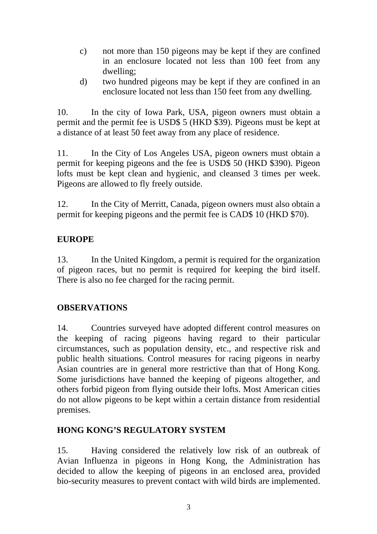- c) not more than 150 pigeons may be kept if they are confined in an enclosure located not less than 100 feet from any dwelling;
- d) two hundred pigeons may be kept if they are confined in an enclosure located not less than 150 feet from any dwelling.

10. In the city of Iowa Park, USA, pigeon owners must obtain a permit and the permit fee is USD\$ 5 (HKD \$39). Pigeons must be kept at a distance of at least 50 feet away from any place of residence.

11. In the City of Los Angeles USA, pigeon owners must obtain a permit for keeping pigeons and the fee is USD\$ 50 (HKD \$390). Pigeon lofts must be kept clean and hygienic, and cleansed 3 times per week. Pigeons are allowed to fly freely outside.

12. In the City of Merritt, Canada, pigeon owners must also obtain a permit for keeping pigeons and the permit fee is CAD\$ 10 (HKD \$70).

# **EUROPE**

13. In the United Kingdom, a permit is required for the organization of pigeon races, but no permit is required for keeping the bird itself. There is also no fee charged for the racing permit.

# **OBSERVATIONS**

14. Countries surveyed have adopted different control measures on the keeping of racing pigeons having regard to their particular circumstances, such as population density, etc., and respective risk and public health situations. Control measures for racing pigeons in nearby Asian countries are in general more restrictive than that of Hong Kong. Some jurisdictions have banned the keeping of pigeons altogether, and others forbid pigeon from flying outside their lofts. Most American cities do not allow pigeons to be kept within a certain distance from residential premises.

# **HONG KONG'S REGULATORY SYSTEM**

15. Having considered the relatively low risk of an outbreak of Avian Influenza in pigeons in Hong Kong, the Administration has decided to allow the keeping of pigeons in an enclosed area, provided bio-security measures to prevent contact with wild birds are implemented.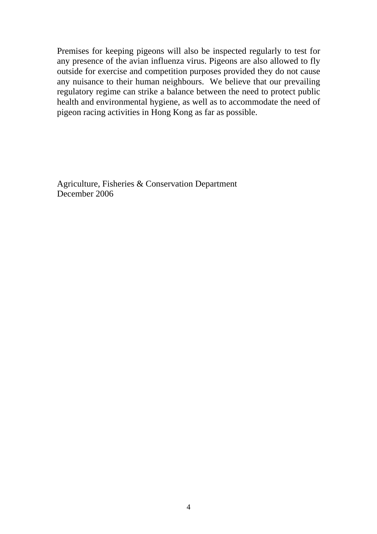Premises for keeping pigeons will also be inspected regularly to test for any presence of the avian influenza virus. Pigeons are also allowed to fly outside for exercise and competition purposes provided they do not cause any nuisance to their human neighbours. We believe that our prevailing regulatory regime can strike a balance between the need to protect public health and environmental hygiene, as well as to accommodate the need of pigeon racing activities in Hong Kong as far as possible.

Agriculture, Fisheries & Conservation Department December 2006